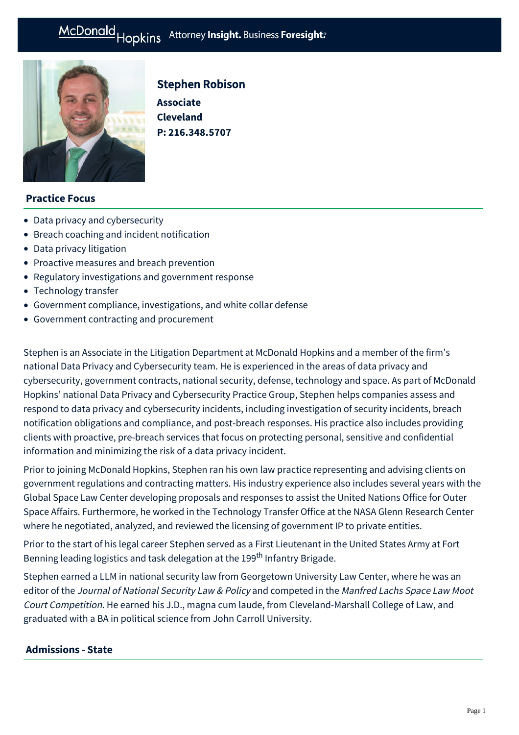

# Stephen Robison

**Associate Cleveland P: [216.348.5707](tel:216.348.5707)**

# **Practice Focus**

- [Data privacy and cybersecurity](https://mcdonaldhopkins.com/Expertise/Data-privacy-and-cybersecurity)
- [Breach coaching and incident notification](https://mcdonaldhopkins.com/Expertise/Data-privacy-and-cybersecurity/Breach-coaching-and-incident-notification)
- [Data privacy litigation](https://mcdonaldhopkins.com/Expertise/Data-privacy-and-cybersecurity/Data-privacy-litigation)
- [Proactive measures and breach prevention](https://mcdonaldhopkins.com/Expertise/Data-privacy-and-cybersecurity/Proactive-measures-and-breach-prevention)
- [Regulatory investigations and government response](https://mcdonaldhopkins.com/Expertise/Data-privacy-and-cybersecurity/Regulatory-investigations-and-government-response)
- [Technology transfer](https://mcdonaldhopkins.com/Expertise/Intellectual-property/Technology-transfer)
- [Government compliance, investigations, and white collar defense](https://mcdonaldhopkins.com/Expertise/Litigation/Government-compliance,-investigations,-and-white-c)
- [Government contracting and procurement](https://mcdonaldhopkins.com/Expertise/Government-contracting-and-procurement)

Stephen is an Associate in the Litigation Department at McDonald Hopkins and a member of the firm's national Data Privacy and Cybersecurity team. He is experienced in the areas of data privacy and cybersecurity, government contracts, national security, defense, technology and space. As part of McDonald Hopkins' national Data Privacy and Cybersecurity Practice Group, Stephen helps companies assess and respond to data privacy and cybersecurity incidents, including investigation of security incidents, breach notification obligations and compliance, and post-breach responses. His practice also includes providing clients with proactive, pre-breach services that focus on protecting personal, sensitive and confidential information and minimizing the risk of a data privacy incident.

Prior to joining McDonald Hopkins, Stephen ran his own law practice representing and advising clients on government regulations and contracting matters. His industry experience also includes several years with the Global Space Law Center developing proposals and responses to assist the United Nations Office for Outer Space Affairs. Furthermore, he worked in the Technology Transfer Office at the NASA Glenn Research Center where he negotiated, analyzed, and reviewed the licensing of government IP to private entities.

Prior to the start of his legal career Stephen served as a First Lieutenant in the United States Army at Fort Benning leading logistics and task delegation at the 199<sup>th</sup> Infantry Brigade.

Stephen earned a LLM in national security law from Georgetown University Law Center, where he was an editor of the Journal of National Security Law & Policy and competed in the Manfred Lachs Space Law Moot Court Competition. He earned his J.D., magna cum laude, from Cleveland-Marshall College of Law, and graduated with a BA in political science from John Carroll University.

# **Admissions - State**